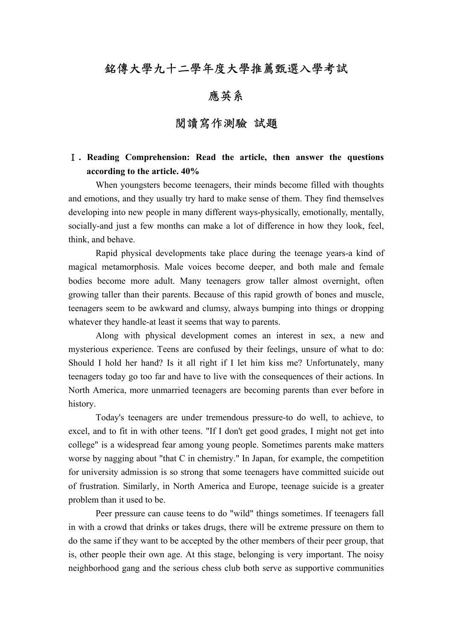### 銘傳大學九十二學年度大學推薦甄選入學考試

## 應英系

### 閱讀寫作測驗 試題

### Ⅰ**. Reading Comprehension: Read the article, then answer the questions according to the article. 40%**

When youngsters become teenagers, their minds become filled with thoughts and emotions, and they usually try hard to make sense of them. They find themselves developing into new people in many different ways-physically, emotionally, mentally, socially-and just a few months can make a lot of difference in how they look, feel, think, and behave.

Rapid physical developments take place during the teenage years-a kind of magical metamorphosis. Male voices become deeper, and both male and female bodies become more adult. Many teenagers grow taller almost overnight, often growing taller than their parents. Because of this rapid growth of bones and muscle, teenagers seem to be awkward and clumsy, always bumping into things or dropping whatever they handle-at least it seems that way to parents.

Along with physical development comes an interest in sex, a new and mysterious experience. Teens are confused by their feelings, unsure of what to do: Should I hold her hand? Is it all right if I let him kiss me? Unfortunately, many teenagers today go too far and have to live with the consequences of their actions. In North America, more unmarried teenagers are becoming parents than ever before in history.

Today's teenagers are under tremendous pressure-to do well, to achieve, to excel, and to fit in with other teens. "If I don't get good grades, I might not get into college" is a widespread fear among young people. Sometimes parents make matters worse by nagging about "that C in chemistry." In Japan, for example, the competition for university admission is so strong that some teenagers have committed suicide out of frustration. Similarly, in North America and Europe, teenage suicide is a greater problem than it used to be.

Peer pressure can cause teens to do "wild" things sometimes. If teenagers fall in with a crowd that drinks or takes drugs, there will be extreme pressure on them to do the same if they want to be accepted by the other members of their peer group, that is, other people their own age. At this stage, belonging is very important. The noisy neighborhood gang and the serious chess club both serve as supportive communities